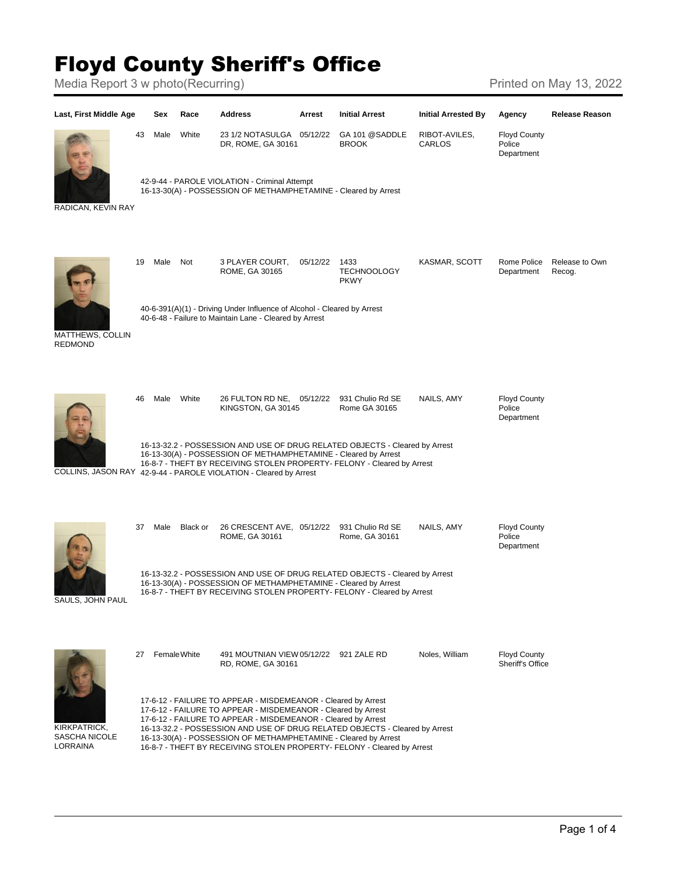## Floyd County Sheriff's Office

Media Report 3 w photo(Recurring) Media Report 3 w photo(Recurring)

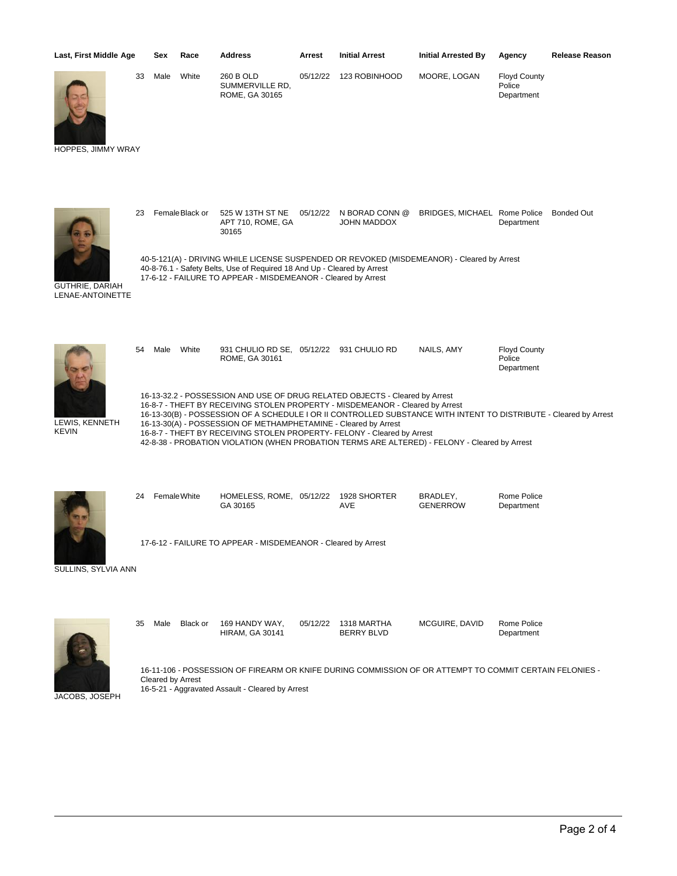| Last, First Middle Age               | Sex  | Race  | <b>Address</b>                                 | Arrest   | <b>Initial Arrest</b> | <b>Initial Arrested By</b> | Agency                                      | <b>Release Reason</b> |
|--------------------------------------|------|-------|------------------------------------------------|----------|-----------------------|----------------------------|---------------------------------------------|-----------------------|
| 33<br>U<br><b>HOPPES, JIMMY WRAY</b> | Male | White | 260 B OLD<br>SUMMERVILLE RD,<br>ROME, GA 30165 | 05/12/22 | 123 ROBINHOOD         | MOORE, LOGAN               | <b>Floyd County</b><br>Police<br>Department |                       |

23 FemaleBlack or 525 W 13TH ST NE 05/12/22 N BORAD CONN @ BRIDGES, MICHAEL Rome Police

40-5-121(A) - DRIVING WHILE LICENSE SUSPENDED OR REVOKED (MISDEMEANOR) - Cleared by Arrest

APT 710, ROME, GA

30165

35 Male Black or 169 HANDY WAY,

HIRAM, GA 30141



GUTHRIE, DARIAH LENAE-ANTOINETTE



LEWIS, KENNETH KEVIN

40-8-76.1 - Safety Belts, Use of Required 18 And Up - Cleared by Arrest 17-6-12 - FAILURE TO APPEAR - MISDEMEANOR - Cleared by Arrest 54 Male White 931 CHULIO RD SE, 05/12/22 931 CHULIO RD NAILS, AMY Floyd County ROME, GA 30161 Police Department 16-13-32.2 - POSSESSION AND USE OF DRUG RELATED OBJECTS - Cleared by Arrest 16-8-7 - THEFT BY RECEIVING STOLEN PROPERTY - MISDEMEANOR - Cleared by Arrest 16-13-30(B) - POSSESSION OF A SCHEDULE I OR II CONTROLLED SUBSTANCE WITH INTENT TO DISTRIBUTE - Cleared by Arrest 16-13-30(A) - POSSESSION OF METHAMPHETAMINE - Cleared by Arrest 16-8-7 - THEFT BY RECEIVING STOLEN PROPERTY- FELONY - Cleared by Arrest 42-8-38 - PROBATION VIOLATION (WHEN PROBATION TERMS ARE ALTERED) - FELONY - Cleared by Arrest

JOHN MADDOX

Department

MCGUIRE, DAVID Rome Police

Department

Bonded Out



24 FemaleWhite HOMELESS, ROME, 05/12/22 GA 30165 1928 SHORTER AVE BRADLEY, **GENERROW** Rome Police Department SULLINS, SYLVIA ANN 17-6-12 - FAILURE TO APPEAR - MISDEMEANOR - Cleared by Arrest

> 05/12/22 1318 MARTHA BERRY BLVD



16-11-106 - POSSESSION OF FIREARM OR KNIFE DURING COMMISSION OF OR ATTEMPT TO COMMIT CERTAIN FELONIES - Cleared by Arrest 16-5-21 - Aggravated Assault - Cleared by Arrest

JACOBS, JOSEPH

Page 2 of 4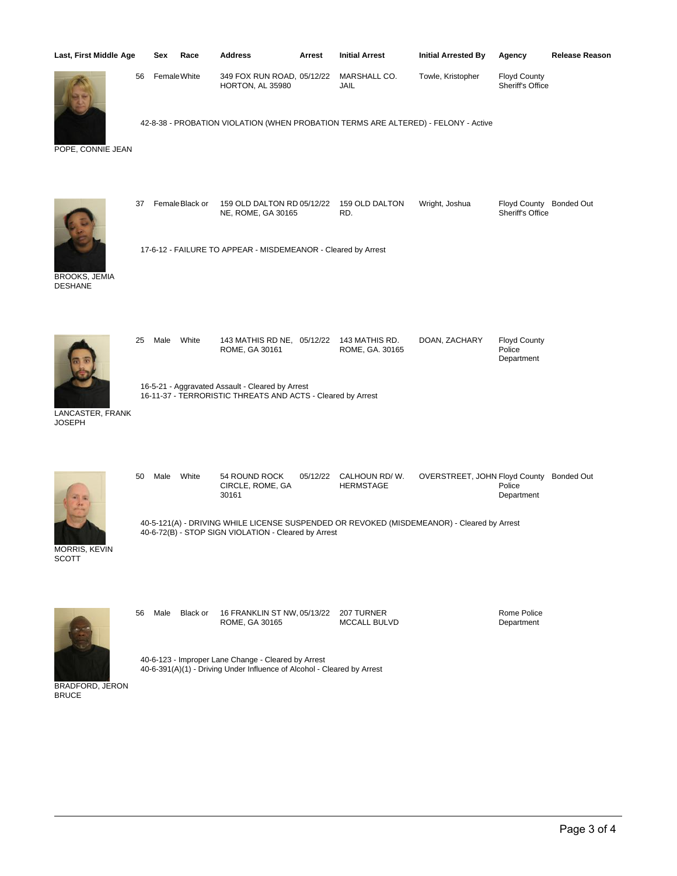| Last, First Middle Age                 |                                                                                                                                                    | Sex          | Race           | Address                                                                            | Arrest   | <b>Initial Arrest</b>             | <b>Initial Arrested By</b>               | Agency                                      | <b>Release Reason</b> |
|----------------------------------------|----------------------------------------------------------------------------------------------------------------------------------------------------|--------------|----------------|------------------------------------------------------------------------------------|----------|-----------------------------------|------------------------------------------|---------------------------------------------|-----------------------|
|                                        | 56                                                                                                                                                 | Female White |                | 349 FOX RUN ROAD, 05/12/22<br>HORTON, AL 35980                                     |          | MARSHALL CO.<br>JAIL              | Towle, Kristopher                        | <b>Floyd County</b><br>Sheriff's Office     |                       |
| POPE, CONNIE JEAN                      |                                                                                                                                                    |              |                | 42-8-38 - PROBATION VIOLATION (WHEN PROBATION TERMS ARE ALTERED) - FELONY - Active |          |                                   |                                          |                                             |                       |
|                                        | 37                                                                                                                                                 |              | FemaleBlack or | 159 OLD DALTON RD 05/12/22<br>NE, ROME, GA 30165                                   |          | 159 OLD DALTON<br>RD.             | Wright, Joshua                           | Floyd County Bonded Out<br>Sheriff's Office |                       |
| <b>BROOKS, JEMIA</b><br><b>DESHANE</b> |                                                                                                                                                    |              |                | 17-6-12 - FAILURE TO APPEAR - MISDEMEANOR - Cleared by Arrest                      |          |                                   |                                          |                                             |                       |
|                                        | 25                                                                                                                                                 | Male         | White          | 143 MATHIS RD NE, 05/12/22<br>ROME, GA 30161                                       |          | 143 MATHIS RD.<br>ROME, GA. 30165 | DOAN, ZACHARY                            | <b>Floyd County</b><br>Police<br>Department |                       |
| LANCASTER, FRANK<br><b>JOSEPH</b>      | 16-5-21 - Aggravated Assault - Cleared by Arrest<br>16-11-37 - TERRORISTIC THREATS AND ACTS - Cleared by Arrest                                    |              |                |                                                                                    |          |                                   |                                          |                                             |                       |
|                                        | 50                                                                                                                                                 | Male         | White          | 54 ROUND ROCK<br>CIRCLE, ROME, GA<br>30161                                         | 05/12/22 | CALHOUN RD/W.<br><b>HERMSTAGE</b> | OVERSTREET, JOHN Floyd County Bonded Out | Police<br>Department                        |                       |
| MORRIS, KEVIN<br><b>SCOTT</b>          | 40-5-121(A) - DRIVING WHILE LICENSE SUSPENDED OR REVOKED (MISDEMEANOR) - Cleared by Arrest<br>40-6-72(B) - STOP SIGN VIOLATION - Cleared by Arrest |              |                |                                                                                    |          |                                   |                                          |                                             |                       |
|                                        | 56                                                                                                                                                 | Male         | Black or       | 16 FRANKLIN ST NW, 05/13/22<br>ROME, GA 30165                                      |          | 207 TURNER<br><b>MCCALL BULVD</b> |                                          | Rome Police<br>Department                   |                       |
|                                        | 40-6-123 - Improper Lane Change - Cleared by Arrest<br>40-6-391(A)(1) - Driving Under Influence of Alcohol - Cleared by Arrest                     |              |                |                                                                                    |          |                                   |                                          |                                             |                       |

BRADFORD, JERON BRUCE